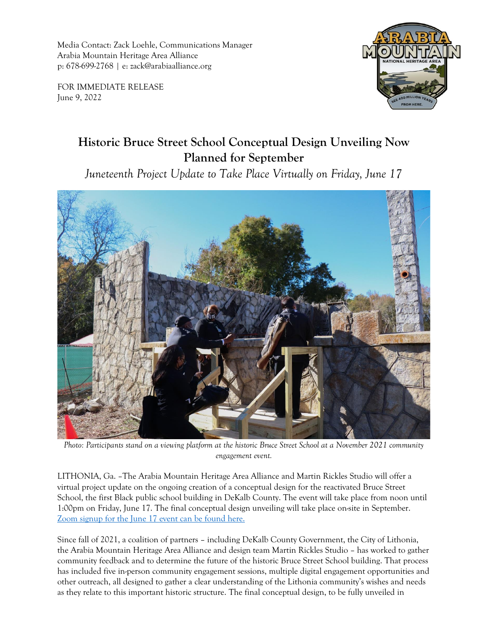Media Contact: Zack Loehle, Communications Manager Arabia Mountain Heritage Area Alliance p: 678-699-2768 | e: zack@arabiaalliance.org

FOR IMMEDIATE RELEASE June 9, 2022



## **Historic Bruce Street School Conceptual Design Unveiling Now Planned for September**

*Juneteenth Project Update to Take Place Virtually on Friday, June 17*



*Photo: Participants stand on a viewing platform at the historic Bruce Street School at a November 2021 community engagement event.*

LITHONIA, Ga. –The Arabia Mountain Heritage Area Alliance and Martin Rickles Studio will offer a virtual project update on the ongoing creation of a conceptual design for the reactivated Bruce Street School, the first Black public school building in DeKalb County. The event will take place from noon until 1:00pm on Friday, June 17. The final conceptual design unveiling will take place on-site in September. [Zoom signup for the June 17 event can be found here.](https://arabiaalliance.org/sign-up-below/)

Since fall of 2021, a coalition of partners – including DeKalb County Government, the City of Lithonia, the Arabia Mountain Heritage Area Alliance and design team Martin Rickles Studio – has worked to gather community feedback and to determine the future of the historic Bruce Street School building. That process has included five in-person community engagement sessions, multiple digital engagement opportunities and other outreach, all designed to gather a clear understanding of the Lithonia community's wishes and needs as they relate to this important historic structure. The final conceptual design, to be fully unveiled in